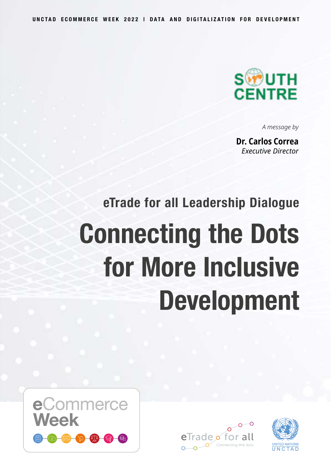**UNCTAD ECOMMERCE WEEK 2022 | DATA AND DIGITALIZATION FOR DEVELOPMENT**



*A message by*

**Dr. Carlos Correa** *Executive Director*

## **eTrade for all Leadership Dialogue Connecting the Dots for More Inclusive Development**





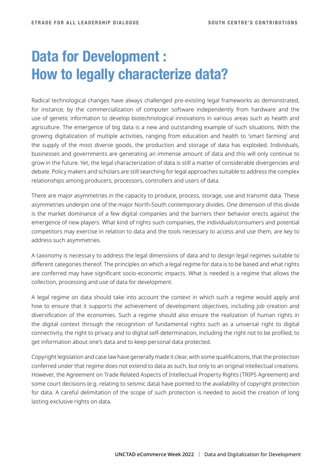## **Data for Development : How to legally characterize data?**

Radical technological changes have always challenged pre-existing legal frameworks as demonstrated, for instance, by the commercialization of computer software independently from hardware and the use of genetic information to develop biotechnological innovations in various areas such as health and agriculture. The emergence of big data is a new and outstanding example of such situations. With the growing digitalization of multiple activities, ranging from education and health to 'smart farming' and the supply of the most diverse goods, the production and storage of data has exploded. Individuals, businesses and governments are generating an immense amount of data and this will only continue to grow in the future. Yet, the legal characterization of data is still a matter of considerable divergencies and debate. Policy makers and scholars are still searching for legal approaches suitable to address the complex relationships among producers, processors, controllers and users of data.

There are major asymmetries in the capacity to produce, process, storage, use and transmit data. These asymmetries underpin one of the major North-South contemporary divides. One dimension of this divide is the market dominance of a few digital companies and the barriers their behavior erects against the emergence of new players. What kind of rights such companies, the individuals/consumers and potential competitors may exercise in relation to data and the tools necessary to access and use them, are key to address such asymmetries.

A taxonomy is necessary to address the legal dimensions of data and to design legal regimes suitable to different categories thereof. The principles on which a legal regime for data is to be based and what rights are conferred may have significant socio-economic impacts. What is needed is a regime that allows the collection, processing and use of data for development.

A legal regime on data should take into account the context in which such a regime would apply and how to ensure that it supports the achievement of development objectives, including job creation and diversification of the economies. Such a regime should also ensure the realization of human rights in the digital context through the recognition of fundamental rights such as a universal right to digital connectivity, the right to privacy and to digital self-determination, including the right not to be profiled, to get information about one's data and to keep personal data protected.

Copyright legislation and case law have generally made it clear, with some qualifications, that the protection conferred under that regime does not extend to data as such, but only to an original intellectual creations. However, the Agreement on Trade Related Aspects of Intellectual Property Rights (TRIPS Agreement) and some court decisions (e.g. relating to seismic data) have pointed to the availability of copyright protection for data. A careful delimitation of the scope of such protection is needed to avoid the creation of long lasting exclusive rights on data.